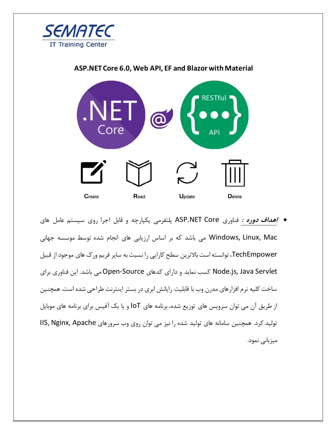

## **ASP.NET Core 6.0, Web API, EF and Blazor with Material**



• **اهداف دوره :** فناوری Core NET.ASP پلتفرمی یکپارچه و قابل اجرا روی سیستم عامل های Mac ,Linux ,Windows می باشد که بر اساس ارزیابی های انجام شده توسط موسسه جهانی TechEmpower، توانسته است باالترین سطح کارایی را نسبت به سایر فریم ورک های موجود از قبیل Servlet Java ,js.Node کسب نماید و دارای کدهای Source-Open می باشد. این فناوری برای ساخت کلیه نرم افزارهای مدرن وب با قابلیت رایانش ابری در بستر اینترنت طراحی شده است. همچنین از طریق آن می توان سرویس های توزیع شده، برنامه های IoT و یا بک آفیس برای برنامه های موبایل تولید کرد. همچنین سامانه های تولید شده را نیز می توان روی وب سرورهای IIS, Nginx, Apache میزبانی نمود.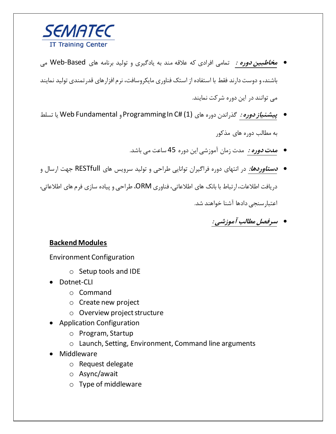

- **مخاطبین دوره :** تمامی افرادی که عالقه مند به یادگیری و تولید برنامه های Based-Web می باشند، و دوست دارند فقط با استفاده از استک فناوری مایکروسافت، نرم افزارهای قدرتمندی تولید نمایند می توانند در این دوره شرکت نمایند.
- **پیشنیاز دوره :** گذراندن دوره های (1) #C In Programming و Fundamental Web یا تسلط به مطالب دوره های مذکور
	- **مدت دوره :** مدت زمان آموزشی این دوره 45 ساعت می باشد.
- **دستاوردها:** در انتهای دوره فراگیران توانایی طراحی و تولید سرویس های RESTfull جهت ارسال و دریافت اطالعات، ارتباط با بانک های اطالعاتی، فناوری ORM، طراحی و پیاده سازی فرم های اطالعاتی، اعتبارسنجی دادها آشنا خواهند شد.

• **سرفصل مطالب آموزشی :**

## **Backend Modules**

Environment Configuration

- o Setup tools and IDE
- Dotnet-CLI
	- o Command
	- o Create new project
	- o Overview project structure
- Application Configuration
	- o Program, Startup
	- o Launch, Setting, Environment, Command line arguments
- Middleware
	- o Request delegate
	- o Async/await
	- o Type of middleware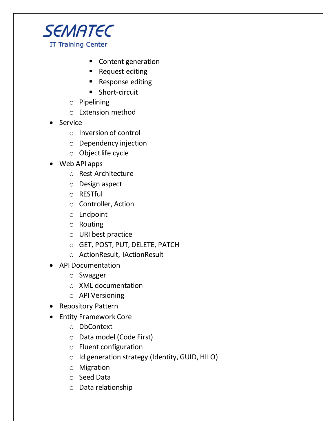

- Content generation
- Request editing
- Response editing
- Short-circuit
- o Pipelining
- o Extension method
- Service
	- o Inversion of control
	- o Dependency injection
	- o Object life cycle
- Web API apps
	- o Rest Architecture
	- o Design aspect
	- o RESTful
	- o Controller, Action
	- o Endpoint
	- o Routing
	- o URI best practice
	- o GET, POST, PUT, DELETE, PATCH
	- o ActionResult, IActionResult
- API Documentation
	- o Swagger
	- o XML documentation
	- o API Versioning
- Repository Pattern
- Entity Framework Core
	- o DbContext
	- o Data model (Code First)
	- o Fluent configuration
	- o Id generation strategy (Identity, GUID, HILO)
	- o Migration
	- o Seed Data
	- o Data relationship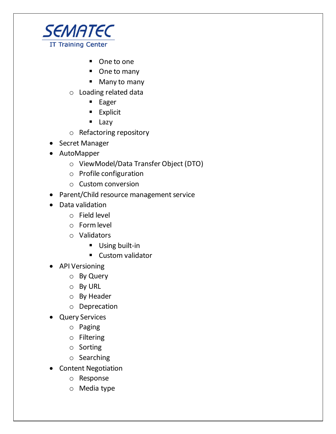

- One to one
- One to many
- Many to many
- o Loading related data
	- Eager
	- **Explicit**
	- Lazy
- o Refactoring repository
- Secret Manager
- AutoMapper
	- o ViewModel/Data Transfer Object (DTO)
	- o Profile configuration
	- o Custom conversion
- Parent/Child resource management service
- Data validation
	- o Field level
	- o Form level
	- o Validators
		- Using built-in
		- Custom validator
- API Versioning
	- o By Query
	- o By URL
	- o By Header
	- o Deprecation
- Query Services
	- o Paging
	- o Filtering
	- o Sorting
	- o Searching
- Content Negotiation
	- o Response
	- o Media type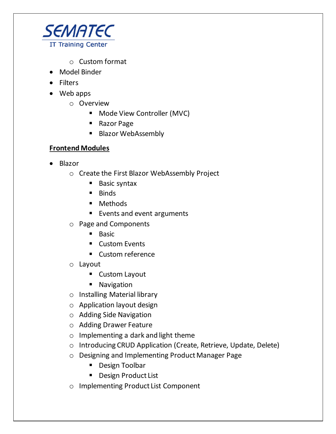

- o Custom format
- Model Binder
- Filters
- Web apps
	- o Overview
		- Mode View Controller (MVC)
		- Razor Page
		- Blazor WebAssembly

## **Frontend Modules**

- Blazor
	- o Create the First Blazor WebAssembly Project
		- Basic syntax
		- Binds
		- Methods
		- Events and event arguments
	- o Page and Components
		- Basic
		- Custom Events
		- Custom reference
	- o Layout
		- Custom Layout
		- Navigation
	- o Installing Material library
	- o Application layout design
	- o Adding Side Navigation
	- o Adding Drawer Feature
	- o Implementing a dark and light theme
	- o Introducing CRUD Application (Create, Retrieve, Update, Delete)
	- o Designing and Implementing Product Manager Page
		- Design Toolbar
		- Design Product List
	- o Implementing Product List Component